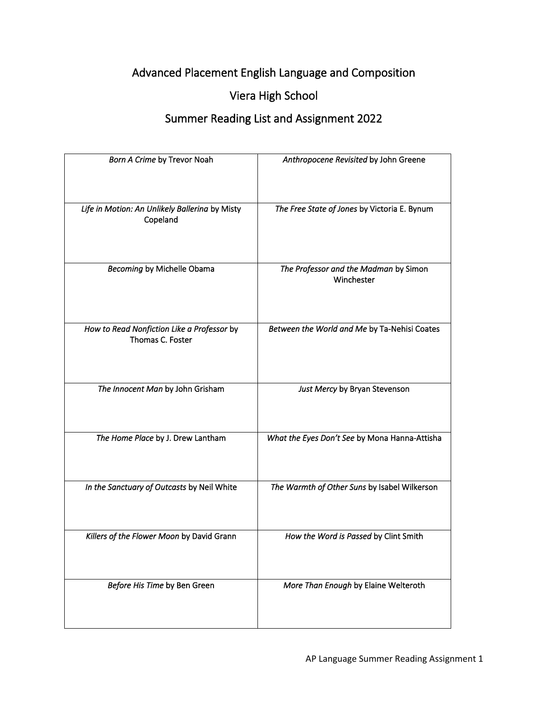## Advanced Placement English Language and Composition

## Viera High School

## Summer Reading List and Assignment 2022

| Born A Crime by Trevor Noah                                    | Anthropocene Revisited by John Greene               |
|----------------------------------------------------------------|-----------------------------------------------------|
| Life in Motion: An Unlikely Ballerina by Misty<br>Copeland     | The Free State of Jones by Victoria E. Bynum        |
| <b>Becoming by Michelle Obama</b>                              | The Professor and the Madman by Simon<br>Winchester |
| How to Read Nonfiction Like a Professor by<br>Thomas C. Foster | Between the World and Me by Ta-Nehisi Coates        |
| The Innocent Man by John Grisham                               | Just Mercy by Bryan Stevenson                       |
| The Home Place by J. Drew Lantham                              | What the Eyes Don't See by Mona Hanna-Attisha       |
| In the Sanctuary of Outcasts by Neil White                     | The Warmth of Other Suns by Isabel Wilkerson        |
| Killers of the Flower Moon by David Grann                      | How the Word is Passed by Clint Smith               |
| Before His Time by Ben Green                                   | More Than Enough by Elaine Welteroth                |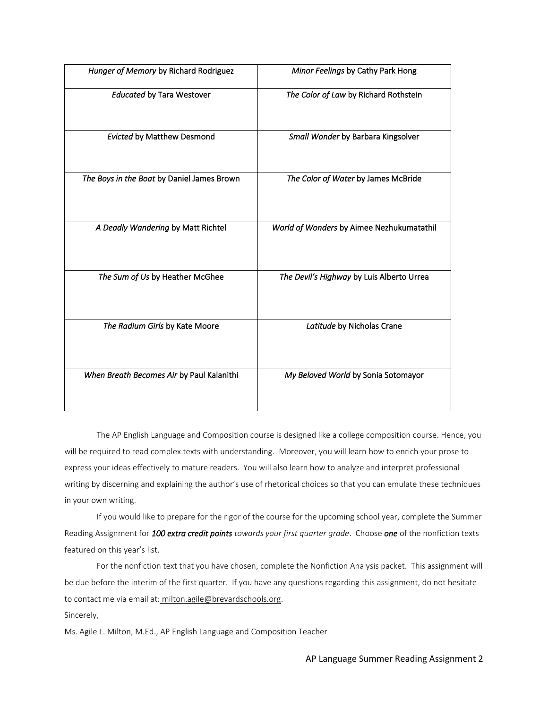| Hunger of Memory by Richard Rodriguez      | Minor Feelings by Cathy Park Hong         |
|--------------------------------------------|-------------------------------------------|
| <b>Educated by Tara Westover</b>           | The Color of Law by Richard Rothstein     |
| <b>Evicted by Matthew Desmond</b>          | Small Wonder by Barbara Kingsolver        |
| The Boys in the Boat by Daniel James Brown | The Color of Water by James McBride       |
| A Deadly Wandering by Matt Richtel         | World of Wonders by Aimee Nezhukumatathil |
| The Sum of Us by Heather McGhee            | The Devil's Highway by Luis Alberto Urrea |
|                                            |                                           |
| The Radium Girls by Kate Moore             | Latitude by Nicholas Crane                |
| When Breath Becomes Air by Paul Kalanithi  | My Beloved World by Sonia Sotomayor       |
|                                            |                                           |

The AP English Language and Composition course is designed like a college composition course. Hence, you will be required to read complex texts with understanding. Moreover, you will learn how to enrich your prose to express your ideas effectively to mature readers. You will also learn how to analyze and interpret professional writing by discerning and explaining the author's use of rhetorical choices so that you can emulate these techniques in your own writing.

If you would like to prepare for the rigor of the course for the upcoming school year, complete the Summer Reading Assignment for *100 extra credit points towards your first quarter grade*. Choose *one* of the nonfiction texts featured on this year's list.

For the nonfiction text that you have chosen, complete the Nonfiction Analysis packet. This assignment will be due before the interim of the first quarter. If you have any questions regarding this assignment, do not hesitate to contact me via email at: [milton.agile@brevardschools.org.](mailto:email%20at:%20milton.agile@brevardschools.org)

Sincerely,

Ms. Agile L. Milton, M.Ed., AP English Language and Composition Teacher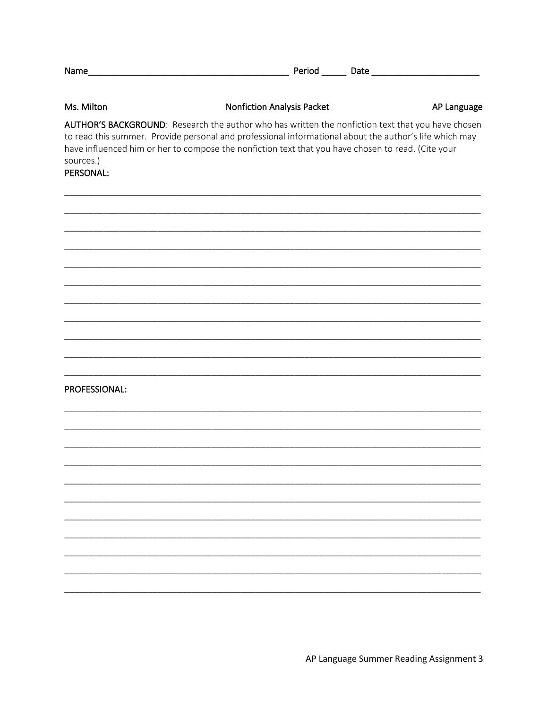| Name___                | <u> 1989 - Johann Barbara, martin amerikan basar dan berasal dalam basas dan berasal dalam basas dalam basas dala</u>                                                                                                                                                                                             | Period Date and Date |
|------------------------|-------------------------------------------------------------------------------------------------------------------------------------------------------------------------------------------------------------------------------------------------------------------------------------------------------------------|----------------------|
| Ms. Milton             | <b>Nonfiction Analysis Packet</b>                                                                                                                                                                                                                                                                                 | AP Language          |
| sources.)<br>PERSONAL: | AUTHOR'S BACKGROUND: Research the author who has written the nonfiction text that you have chosen<br>to read this summer. Provide personal and professional informational about the author's life which may<br>have influenced him or her to compose the nonfiction text that you have chosen to read. (Cite your |                      |
|                        |                                                                                                                                                                                                                                                                                                                   |                      |
|                        |                                                                                                                                                                                                                                                                                                                   |                      |
|                        |                                                                                                                                                                                                                                                                                                                   |                      |
| PROFESSIONAL:          |                                                                                                                                                                                                                                                                                                                   |                      |
|                        |                                                                                                                                                                                                                                                                                                                   |                      |
|                        |                                                                                                                                                                                                                                                                                                                   |                      |
|                        |                                                                                                                                                                                                                                                                                                                   |                      |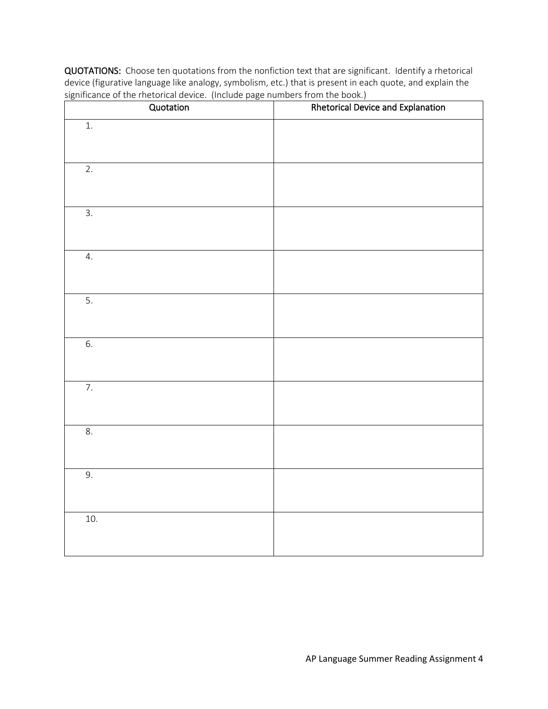| Quotation        | Rhetorical Device and Explanation |
|------------------|-----------------------------------|
| $1.$             |                                   |
| $\overline{2}$ . |                                   |
| $\overline{3}$ . |                                   |
| $\overline{4}$ . |                                   |
| 5.               |                                   |
| 6.               |                                   |
| $\overline{7}$ . |                                   |
| 8.               |                                   |
| 9.               |                                   |
| $10.$            |                                   |

QUOTATIONS: Choose ten quotations from the nonfiction text that are significant. Identify a rhetorical device (figurative language like analogy, symbolism, etc.) that is present in each quote, and explain the significance of the rhetorical device. (Include page numbers from the book.)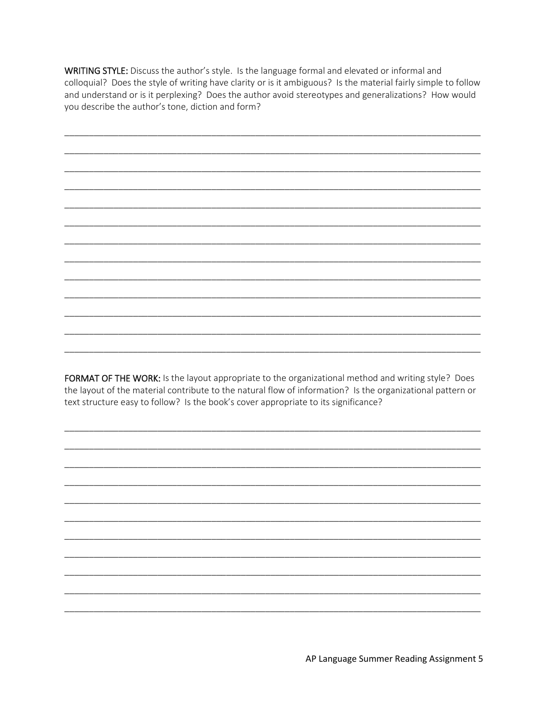WRITING STYLE: Discuss the author's style. Is the language formal and elevated or informal and colloquial? Does the style of writing have clarity or is it ambiguous? Is the material fairly simple to follow and understand or is it perplexing? Does the author avoid stereotypes and generalizations? How would you describe the author's tone, diction and form?

FORMAT OF THE WORK: Is the layout appropriate to the organizational method and writing style? Does the layout of the material contribute to the natural flow of information? Is the organizational pattern or text structure easy to follow? Is the book's cover appropriate to its significance?

AP Language Summer Reading Assignment 5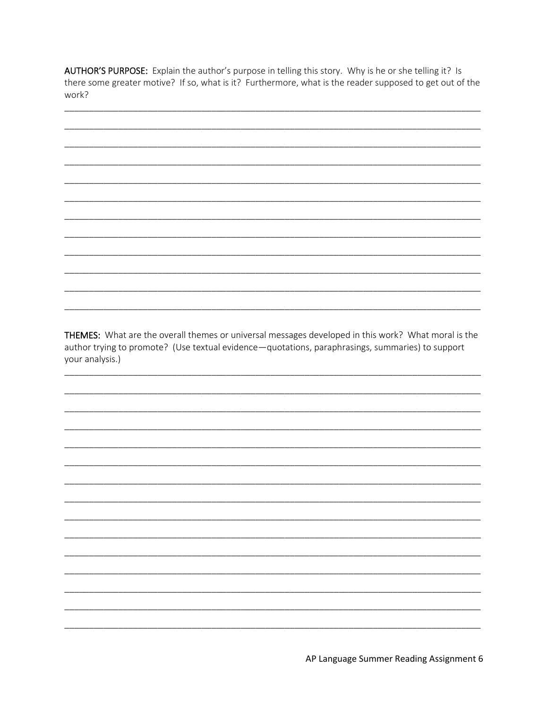AUTHOR'S PURPOSE: Explain the author's purpose in telling this story. Why is he or she telling it? Is there some greater motive? If so, what is it? Furthermore, what is the reader supposed to get out of the work?



THEMES: What are the overall themes or universal messages developed in this work? What moral is the author trying to promote? (Use textual evidence-quotations, paraphrasings, summaries) to support your analysis.)